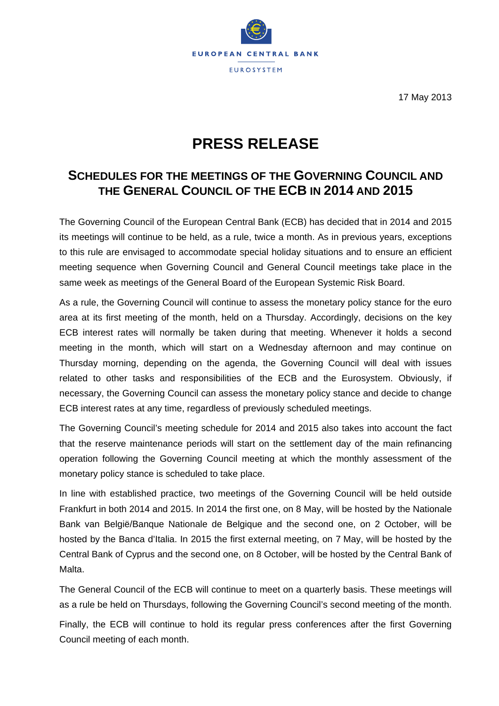

17 May 2013

# **PRESS RELEASE**

## **SCHEDULES FOR THE MEETINGS OF THE GOVERNING COUNCIL AND THE GENERAL COUNCIL OF THE ECB IN 2014 AND 2015**

The Governing Council of the European Central Bank (ECB) has decided that in 2014 and 2015 its meetings will continue to be held, as a rule, twice a month. As in previous years, exceptions to this rule are envisaged to accommodate special holiday situations and to ensure an efficient meeting sequence when Governing Council and General Council meetings take place in the same week as meetings of the General Board of the European Systemic Risk Board.

As a rule, the Governing Council will continue to assess the monetary policy stance for the euro area at its first meeting of the month, held on a Thursday. Accordingly, decisions on the key ECB interest rates will normally be taken during that meeting. Whenever it holds a second meeting in the month, which will start on a Wednesday afternoon and may continue on Thursday morning, depending on the agenda, the Governing Council will deal with issues related to other tasks and responsibilities of the ECB and the Eurosystem. Obviously, if necessary, the Governing Council can assess the monetary policy stance and decide to change ECB interest rates at any time, regardless of previously scheduled meetings.

The Governing Council's meeting schedule for 2014 and 2015 also takes into account the fact that the reserve maintenance periods will start on the settlement day of the main refinancing operation following the Governing Council meeting at which the monthly assessment of the monetary policy stance is scheduled to take place.

In line with established practice, two meetings of the Governing Council will be held outside Frankfurt in both 2014 and 2015. In 2014 the first one, on 8 May, will be hosted by the Nationale Bank van België/Banque Nationale de Belgique and the second one, on 2 October, will be hosted by the Banca d'Italia. In 2015 the first external meeting, on 7 May, will be hosted by the Central Bank of Cyprus and the second one, on 8 October, will be hosted by the Central Bank of Malta.

The General Council of the ECB will continue to meet on a quarterly basis. These meetings will as a rule be held on Thursdays, following the Governing Council's second meeting of the month.

Finally, the ECB will continue to hold its regular press conferences after the first Governing Council meeting of each month.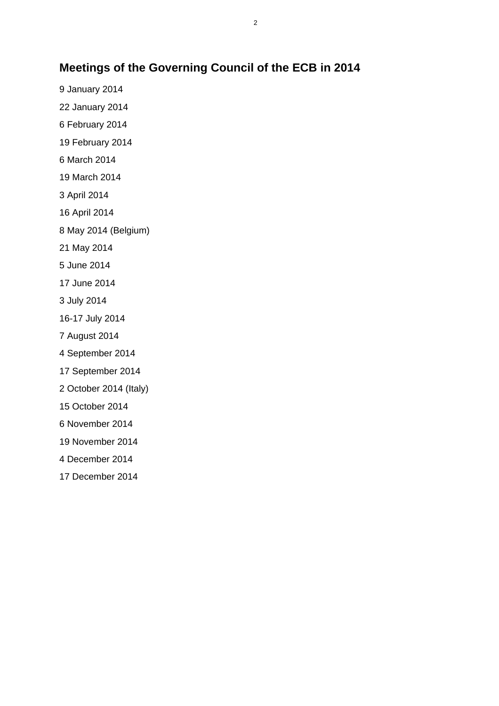#### **Meetings of the Governing Council of the ECB in 2014**

17 December 2014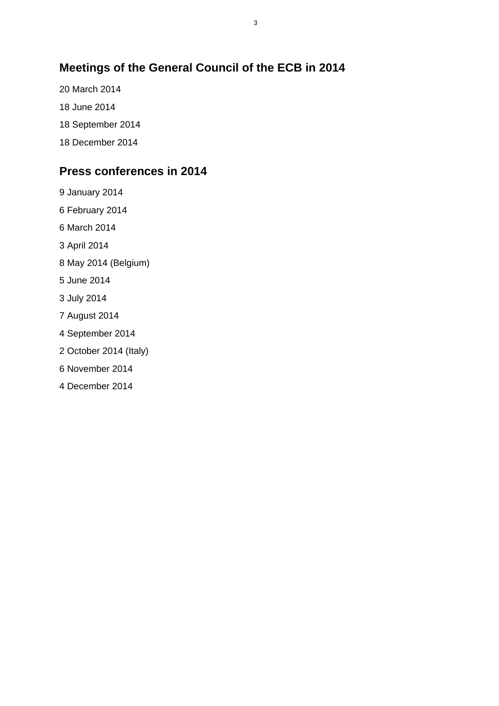### **Meetings of the General Council of the ECB in 2014**

- 20 March 2014
- 18 June 2014
- 18 September 2014
- 18 December 2014

#### **Press conferences in 2014**

- 9 January 2014
- 6 February 2014
- 6 March 2014
- 3 April 2014
- 8 May 2014 (Belgium)
- 5 June 2014
- 3 July 2014
- 7 August 2014
- 4 September 2014
- 2 October 2014 (Italy)
- 6 November 2014
- 4 December 2014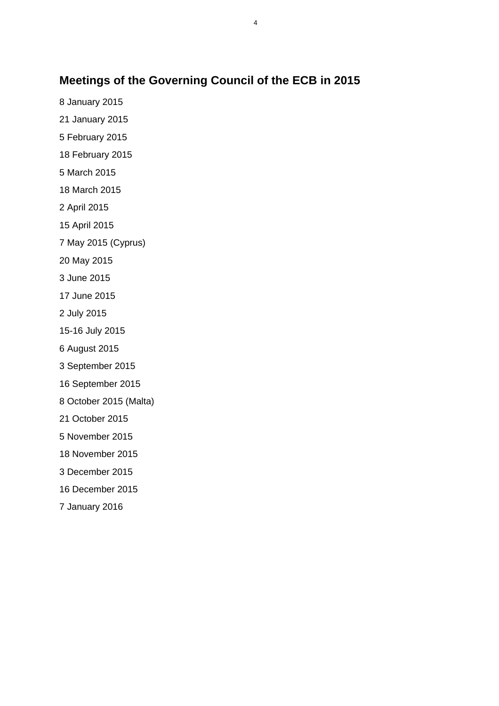#### **Meetings of the Governing Council of the ECB in 2015**

8 January 2015

21 January 2015

5 February 2015

18 February 2015

5 March 2015

18 March 2015

2 April 2015

15 April 2015

7 May 2015 (Cyprus)

20 May 2015

3 June 2015

17 June 2015

2 July 2015

15-16 July 2015

6 August 2015

3 September 2015

16 September 2015

8 October 2015 (Malta)

21 October 2015

5 November 2015

18 November 2015

3 December 2015

16 December 2015

7 January 2016